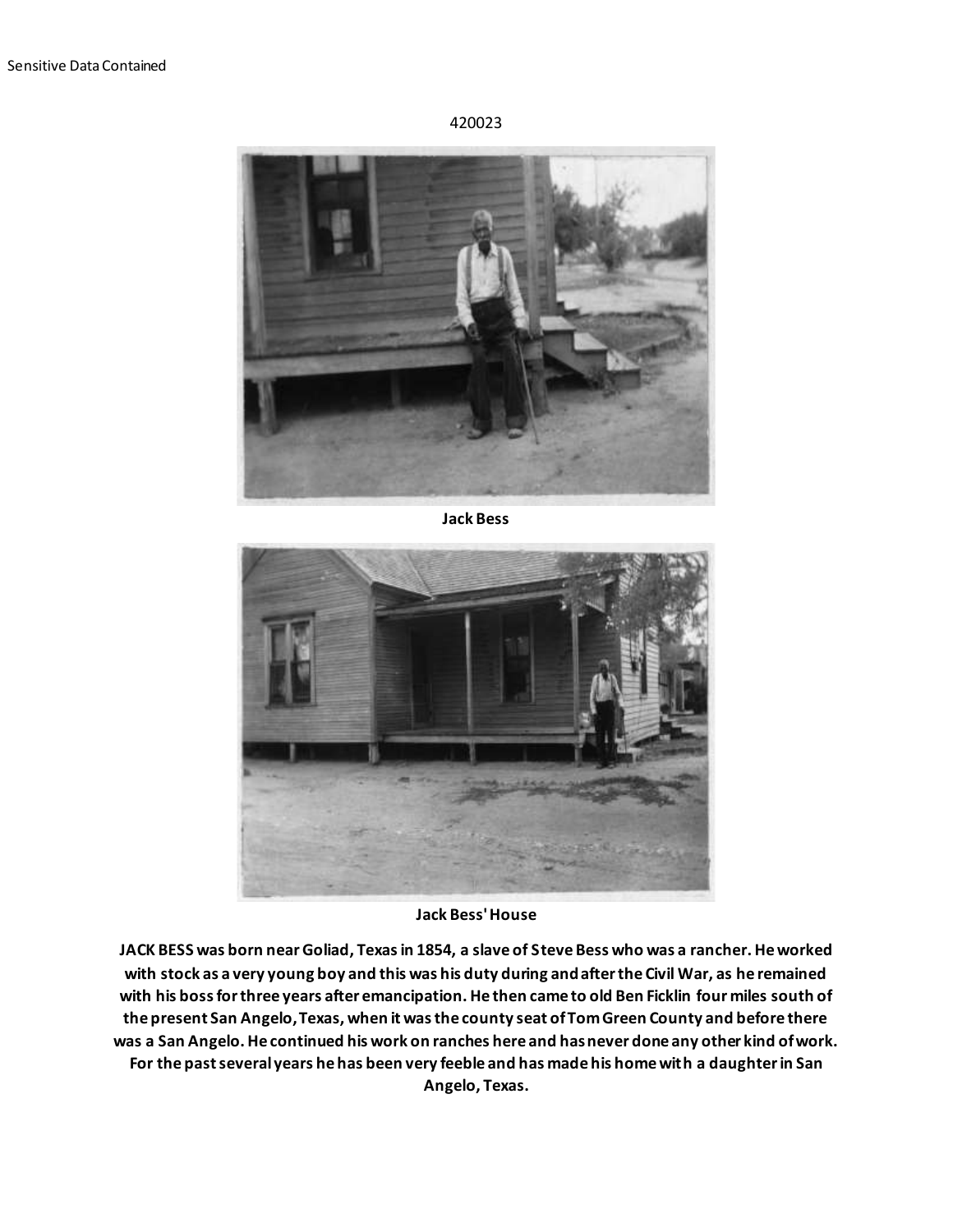## 420023



**Jack Bess**



**Jack Bess' House**

**JACK BESS was born near Goliad, Texas in 1854, a slave of Steve Bess who was a rancher. He worked with stock as a very young boy and this was his duty during and after the Civil War, as he remained with his boss for three years after emancipation. He then came to old Ben Ficklin four miles south of the present San Angelo, Texas, when it was the county seat of Tom Green County and before there was a San Angelo. He continued his work on ranches here and has never done any other kind of work. For the past several years he has been very feeble and has made his home with a daughter in San Angelo, Texas.**